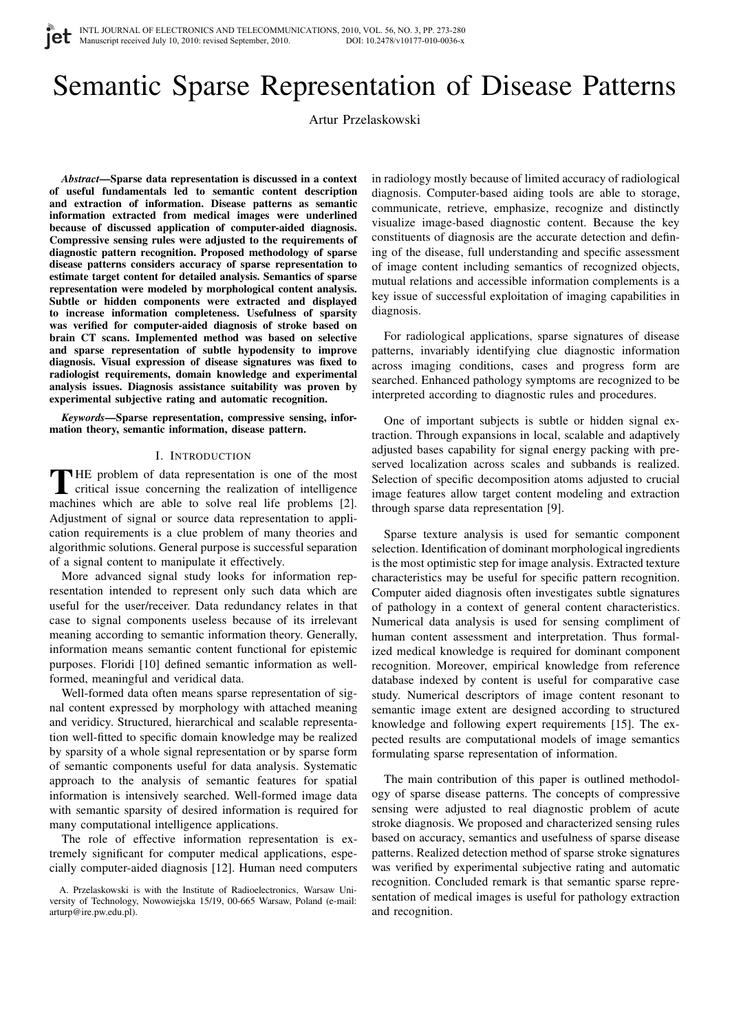# Semantic Sparse Representation of Disease Patterns

Artur Przelaskowski

*Abstract***—Sparse data representation is discussed in a context of useful fundamentals led to semantic content description and extraction of information. Disease patterns as semantic information extracted from medical images were underlined because of discussed application of computer-aided diagnosis. Compressive sensing rules were adjusted to the requirements of diagnostic pattern recognition. Proposed methodology of sparse disease patterns considers accuracy of sparse representation to estimate target content for detailed analysis. Semantics of sparse representation were modeled by morphological content analysis. Subtle or hidden components were extracted and displayed to increase information completeness. Usefulness of sparsity was verified for computer-aided diagnosis of stroke based on brain CT scans. Implemented method was based on selective and sparse representation of subtle hypodensity to improve diagnosis. Visual expression of disease signatures was fixed to radiologist requirements, domain knowledge and experimental analysis issues. Diagnosis assistance suitability was proven by experimental subjective rating and automatic recognition.**

*Keywords***—Sparse representation, compressive sensing, information theory, semantic information, disease pattern.**

## I. INTRODUCTION

**T** HE problem of data representation is one of the most critical issue concerning the realization of intelligence machines which are able to solve real life problems [2]. Adjustment of signal or source data representation to application requirements is a clue problem of many theories and algorithmic solutions. General purpose is successful separation of a signal content to manipulate it effectively.

More advanced signal study looks for information representation intended to represent only such data which are useful for the user/receiver. Data redundancy relates in that case to signal components useless because of its irrelevant meaning according to semantic information theory. Generally, information means semantic content functional for epistemic purposes. Floridi [10] defined semantic information as wellformed, meaningful and veridical data.

Well-formed data often means sparse representation of signal content expressed by morphology with attached meaning and veridicy. Structured, hierarchical and scalable representation well-fitted to specific domain knowledge may be realized by sparsity of a whole signal representation or by sparse form of semantic components useful for data analysis. Systematic approach to the analysis of semantic features for spatial information is intensively searched. Well-formed image data with semantic sparsity of desired information is required for many computational intelligence applications.

The role of effective information representation is extremely significant for computer medical applications, especially computer-aided diagnosis [12]. Human need computers in radiology mostly because of limited accuracy of radiological diagnosis. Computer-based aiding tools are able to storage, communicate, retrieve, emphasize, recognize and distinctly visualize image-based diagnostic content. Because the key constituents of diagnosis are the accurate detection and defining of the disease, full understanding and specific assessment of image content including semantics of recognized objects, mutual relations and accessible information complements is a key issue of successful exploitation of imaging capabilities in diagnosis.

For radiological applications, sparse signatures of disease patterns, invariably identifying clue diagnostic information across imaging conditions, cases and progress form are searched. Enhanced pathology symptoms are recognized to be interpreted according to diagnostic rules and procedures.

One of important subjects is subtle or hidden signal extraction. Through expansions in local, scalable and adaptively adjusted bases capability for signal energy packing with preserved localization across scales and subbands is realized. Selection of specific decomposition atoms adjusted to crucial image features allow target content modeling and extraction through sparse data representation [9].

Sparse texture analysis is used for semantic component selection. Identification of dominant morphological ingredients is the most optimistic step for image analysis. Extracted texture characteristics may be useful for specific pattern recognition. Computer aided diagnosis often investigates subtle signatures of pathology in a context of general content characteristics. Numerical data analysis is used for sensing compliment of human content assessment and interpretation. Thus formalized medical knowledge is required for dominant component recognition. Moreover, empirical knowledge from reference database indexed by content is useful for comparative case study. Numerical descriptors of image content resonant to semantic image extent are designed according to structured knowledge and following expert requirements [15]. The expected results are computational models of image semantics formulating sparse representation of information.

The main contribution of this paper is outlined methodology of sparse disease patterns. The concepts of compressive sensing were adjusted to real diagnostic problem of acute stroke diagnosis. We proposed and characterized sensing rules based on accuracy, semantics and usefulness of sparse disease patterns. Realized detection method of sparse stroke signatures was verified by experimental subjective rating and automatic recognition. Concluded remark is that semantic sparse representation of medical images is useful for pathology extraction and recognition.

A. Przelaskowski is with the Institute of Radioelectronics, Warsaw University of Technology, Nowowiejska 15/19, 00-665 Warsaw, Poland (e-mail: arturp@ire.pw.edu.pl).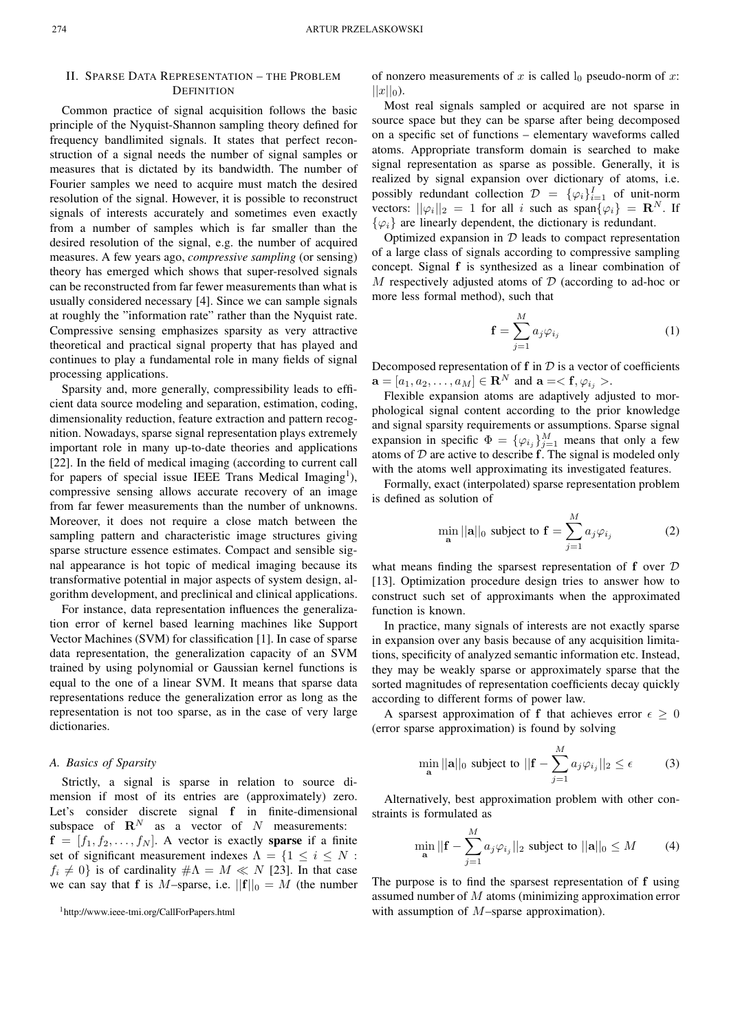# II. SPARSE DATA REPRESENTATION – THE PROBLEM **DEFINITION**

Common practice of signal acquisition follows the basic principle of the Nyquist-Shannon sampling theory defined for frequency bandlimited signals. It states that perfect reconstruction of a signal needs the number of signal samples or measures that is dictated by its bandwidth. The number of Fourier samples we need to acquire must match the desired resolution of the signal. However, it is possible to reconstruct signals of interests accurately and sometimes even exactly from a number of samples which is far smaller than the desired resolution of the signal, e.g. the number of acquired measures. A few years ago, *compressive sampling* (or sensing) theory has emerged which shows that super-resolved signals can be reconstructed from far fewer measurements than what is usually considered necessary [4]. Since we can sample signals at roughly the "information rate" rather than the Nyquist rate. Compressive sensing emphasizes sparsity as very attractive theoretical and practical signal property that has played and continues to play a fundamental role in many fields of signal processing applications.

Sparsity and, more generally, compressibility leads to efficient data source modeling and separation, estimation, coding, dimensionality reduction, feature extraction and pattern recognition. Nowadays, sparse signal representation plays extremely important role in many up-to-date theories and applications [22]. In the field of medical imaging (according to current call for papers of special issue IEEE Trans Medical Imaging<sup>1</sup>), compressive sensing allows accurate recovery of an image from far fewer measurements than the number of unknowns. Moreover, it does not require a close match between the sampling pattern and characteristic image structures giving sparse structure essence estimates. Compact and sensible signal appearance is hot topic of medical imaging because its transformative potential in major aspects of system design, algorithm development, and preclinical and clinical applications.

For instance, data representation influences the generalization error of kernel based learning machines like Support Vector Machines (SVM) for classification [1]. In case of sparse data representation, the generalization capacity of an SVM trained by using polynomial or Gaussian kernel functions is equal to the one of a linear SVM. It means that sparse data representations reduce the generalization error as long as the representation is not too sparse, as in the case of very large dictionaries.

### *A. Basics of Sparsity*

Strictly, a signal is sparse in relation to source dimension if most of its entries are (approximately) zero. Let's consider discrete signal f in finite-dimensional subspace of  $\mathbb{R}^N$  as a vector of N measurements:  $f = [f_1, f_2, \ldots, f_N]$ . A vector is exactly **sparse** if a finite set of significant measurement indexes  $\Lambda = \{1 \le i \le N :$  $f_i \neq 0$  is of cardinality  $\#\Lambda = M \ll N$  [23]. In that case we can say that f is M-sparse, i.e.  $||\mathbf{f}||_0 = M$  (the number

of nonzero measurements of x is called  $l_0$  pseudo-norm of x:  $||x||_0$ ).

Most real signals sampled or acquired are not sparse in source space but they can be sparse after being decomposed on a specific set of functions – elementary waveforms called atoms. Appropriate transform domain is searched to make signal representation as sparse as possible. Generally, it is realized by signal expansion over dictionary of atoms, i.e. possibly redundant collection  $\mathcal{D} = {\varphi_i}_{i=1}^I$  of unit-norm vectors:  $||\varphi_i||_2 = 1$  for all i such as span $\{\varphi_i\} = \mathbb{R}^N$ . If  $\{\varphi_i\}$  are linearly dependent, the dictionary is redundant.

Optimized expansion in  $D$  leads to compact representation of a large class of signals according to compressive sampling concept. Signal f is synthesized as a linear combination of  $M$  respectively adjusted atoms of  $D$  (according to ad-hoc or more less formal method), such that

$$
\mathbf{f} = \sum_{j=1}^{M} a_j \varphi_{i_j} \tag{1}
$$

Decomposed representation of  $f$  in  $D$  is a vector of coefficients  $\mathbf{a} = [a_1, a_2, \dots, a_M] \in \mathbb{R}^N$  and  $\mathbf{a} = \langle \mathbf{f}, \varphi_{i,j} \rangle$ .

Flexible expansion atoms are adaptively adjusted to morphological signal content according to the prior knowledge and signal sparsity requirements or assumptions. Sparse signal expansion in specific  $\Phi = {\{\varphi_{i_j}\}}_{j=1}^M$  means that only a few atoms of  $D$  are active to describe  $\mathbf{f}$ . The signal is modeled only with the atoms well approximating its investigated features.

Formally, exact (interpolated) sparse representation problem is defined as solution of

$$
\min_{\mathbf{a}} ||\mathbf{a}||_0 \text{ subject to } \mathbf{f} = \sum_{j=1}^{M} a_j \varphi_{i_j} \tag{2}
$$

what means finding the sparsest representation of  $f$  over  $D$ [13]. Optimization procedure design tries to answer how to construct such set of approximants when the approximated function is known.

In practice, many signals of interests are not exactly sparse in expansion over any basis because of any acquisition limitations, specificity of analyzed semantic information etc. Instead, they may be weakly sparse or approximately sparse that the sorted magnitudes of representation coefficients decay quickly according to different forms of power law.

A sparsest approximation of f that achieves error  $\epsilon > 0$ (error sparse approximation) is found by solving

$$
\min_{\mathbf{a}} ||\mathbf{a}||_0 \text{ subject to } ||\mathbf{f} - \sum_{j=1}^{M} a_j \varphi_{i_j}||_2 \le \epsilon \tag{3}
$$

Alternatively, best approximation problem with other constraints is formulated as

$$
\min_{\mathbf{a}} ||\mathbf{f} - \sum_{j=1}^{M} a_j \varphi_{i_j}||_2 \text{ subject to } ||\mathbf{a}||_0 \le M \tag{4}
$$

The purpose is to find the sparsest representation of f using assumed number of M atoms (minimizing approximation error with assumption of *M*-sparse approximation).

<sup>1</sup>http://www.ieee-tmi.org/CallForPapers.html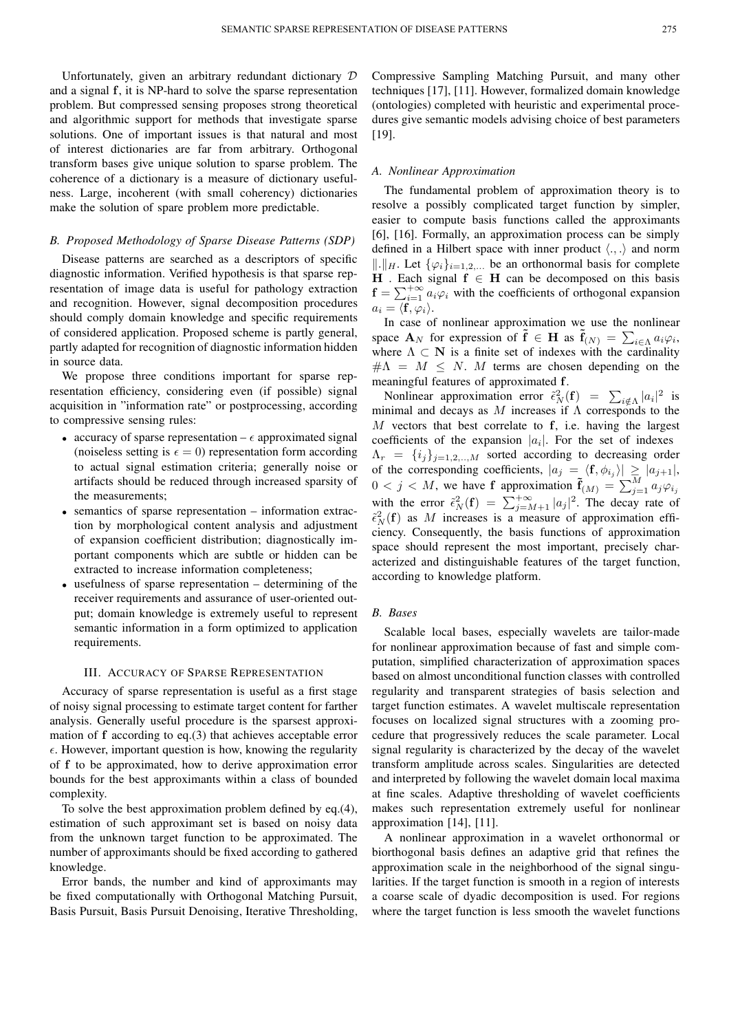Unfortunately, given an arbitrary redundant dictionary D and a signal f, it is NP-hard to solve the sparse representation problem. But compressed sensing proposes strong theoretical and algorithmic support for methods that investigate sparse solutions. One of important issues is that natural and most of interest dictionaries are far from arbitrary. Orthogonal transform bases give unique solution to sparse problem. The coherence of a dictionary is a measure of dictionary usefulness. Large, incoherent (with small coherency) dictionaries make the solution of spare problem more predictable.

## *B. Proposed Methodology of Sparse Disease Patterns (SDP)*

Disease patterns are searched as a descriptors of specific diagnostic information. Verified hypothesis is that sparse representation of image data is useful for pathology extraction and recognition. However, signal decomposition procedures should comply domain knowledge and specific requirements of considered application. Proposed scheme is partly general, partly adapted for recognition of diagnostic information hidden in source data.

We propose three conditions important for sparse representation efficiency, considering even (if possible) signal acquisition in "information rate" or postprocessing, according to compressive sensing rules:

- accuracy of sparse representation  $\epsilon$  approximated signal (noiseless setting is  $\epsilon = 0$ ) representation form according to actual signal estimation criteria; generally noise or artifacts should be reduced through increased sparsity of the measurements;
- semantics of sparse representation information extraction by morphological content analysis and adjustment of expansion coefficient distribution; diagnostically important components which are subtle or hidden can be extracted to increase information completeness;
- usefulness of sparse representation  $-$  determining of the receiver requirements and assurance of user-oriented output; domain knowledge is extremely useful to represent semantic information in a form optimized to application requirements.

#### III. ACCURACY OF SPARSE REPRESENTATION

Accuracy of sparse representation is useful as a first stage of noisy signal processing to estimate target content for farther analysis. Generally useful procedure is the sparsest approximation of f according to eq.(3) that achieves acceptable error  $\epsilon$ . However, important question is how, knowing the regularity of f to be approximated, how to derive approximation error bounds for the best approximants within a class of bounded complexity.

To solve the best approximation problem defined by eq.(4), estimation of such approximant set is based on noisy data from the unknown target function to be approximated. The number of approximants should be fixed according to gathered knowledge.

Error bands, the number and kind of approximants may be fixed computationally with Orthogonal Matching Pursuit, Basis Pursuit, Basis Pursuit Denoising, Iterative Thresholding,

Compressive Sampling Matching Pursuit, and many other techniques [17], [11]. However, formalized domain knowledge (ontologies) completed with heuristic and experimental procedures give semantic models advising choice of best parameters [19].

#### *A. Nonlinear Approximation*

The fundamental problem of approximation theory is to resolve a possibly complicated target function by simpler, easier to compute basis functions called the approximants [6], [16]. Formally, an approximation process can be simply defined in a Hilbert space with inner product  $\langle ., . \rangle$  and norm  $\Vert \cdot \Vert_H$ . Let  $\{\varphi_i\}_{i=1,2,...}$  be an orthonormal basis for complete H . Each signal  $f \in H$  can be decomposed on this basis  $f = \sum_{i=1}^{+\infty} a_i \varphi_i$  with the coefficients of orthogonal expansion  $a_i = \langle \mathbf{f}, \varphi_i \rangle.$ 

In case of nonlinear approximation we use the nonlinear space  $\mathbf{A}_N$  for expression of  $\tilde{\mathbf{f}} \in \mathbf{H}$  as  $\tilde{\mathbf{f}}_{(N)} = \sum_{i \in \Lambda} a_i \varphi_i$ , where  $\Lambda \subset \mathbf{N}$  is a finite set of indexes with the cardinality  $\#\Lambda = M \leq N$ . M terms are chosen depending on the meaningful features of approximated f.

Nonlinear approximation error  $\tilde{\epsilon}_N^2(\mathbf{f}) = \sum_{i \notin \Lambda} |a_i|^2$  is minimal and decays as  $M$  increases if  $\Lambda$  corresponds to the  $M$  vectors that best correlate to  $f$ , i.e. having the largest coefficients of the expansion  $|a_i|$ . For the set of indexes  $\Lambda_r = \{i_j\}_{j=1,2,...,M}$  sorted according to decreasing order of the corresponding coefficients,  $|a_j = \langle \mathbf{f}, \phi_{i_j} \rangle | \geq |a_{j+1}|,$  $0 < j < M$ , we have f approximation  $\tilde{\mathbf{f}}_{(M)} = \sum_{j=1}^{M} a_j \varphi_{i_j}$ with the error  $\tilde{\epsilon}_N^2(\mathbf{f}) = \sum_{j=M+1}^{+\infty} |a_j|^2$ . The decay rate of  $\tilde{\epsilon}_N^2({\bf f})$  as M increases is a measure of approximation efficiency. Consequently, the basis functions of approximation space should represent the most important, precisely characterized and distinguishable features of the target function, according to knowledge platform.

# *B. Bases*

Scalable local bases, especially wavelets are tailor-made for nonlinear approximation because of fast and simple computation, simplified characterization of approximation spaces based on almost unconditional function classes with controlled regularity and transparent strategies of basis selection and target function estimates. A wavelet multiscale representation focuses on localized signal structures with a zooming procedure that progressively reduces the scale parameter. Local signal regularity is characterized by the decay of the wavelet transform amplitude across scales. Singularities are detected and interpreted by following the wavelet domain local maxima at fine scales. Adaptive thresholding of wavelet coefficients makes such representation extremely useful for nonlinear approximation [14], [11].

A nonlinear approximation in a wavelet orthonormal or biorthogonal basis defines an adaptive grid that refines the approximation scale in the neighborhood of the signal singularities. If the target function is smooth in a region of interests a coarse scale of dyadic decomposition is used. For regions where the target function is less smooth the wavelet functions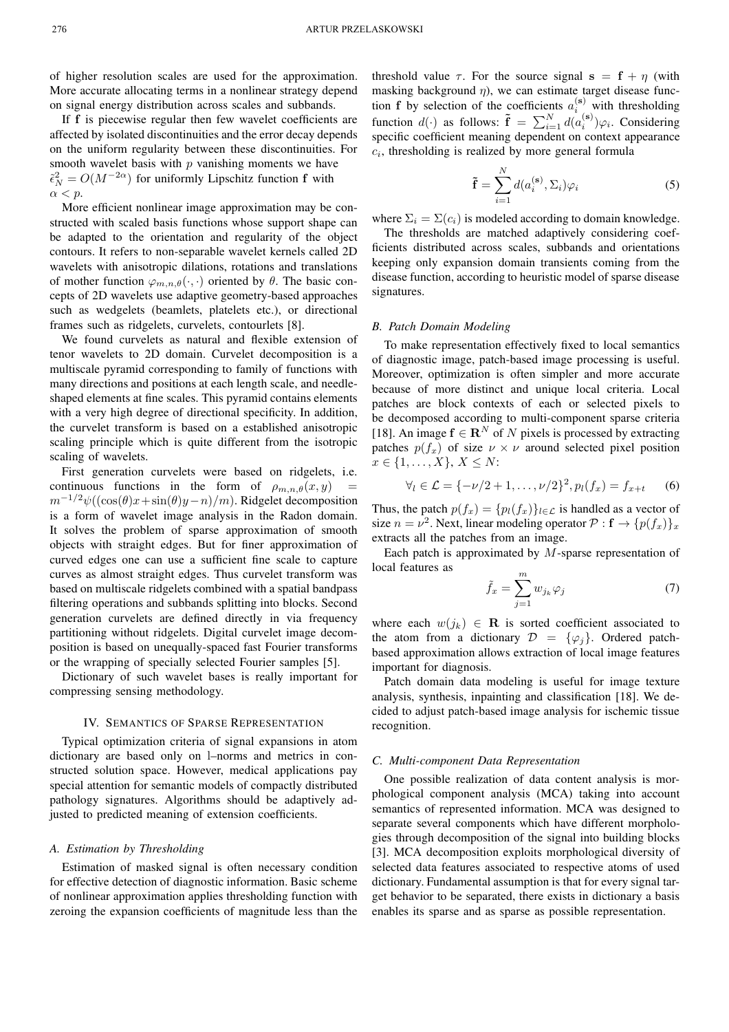of higher resolution scales are used for the approximation. More accurate allocating terms in a nonlinear strategy depend on signal energy distribution across scales and subbands.

If f is piecewise regular then few wavelet coefficients are affected by isolated discontinuities and the error decay depends on the uniform regularity between these discontinuities. For smooth wavelet basis with  $p$  vanishing moments we have  $\tilde{\epsilon}_N^2 = O(M^{-2\alpha})$  for uniformly Lipschitz function f with  $\alpha < p$ .

More efficient nonlinear image approximation may be constructed with scaled basis functions whose support shape can be adapted to the orientation and regularity of the object contours. It refers to non-separable wavelet kernels called 2D wavelets with anisotropic dilations, rotations and translations of mother function  $\varphi_{m,n,\theta}(\cdot,\cdot)$  oriented by  $\theta$ . The basic concepts of 2D wavelets use adaptive geometry-based approaches such as wedgelets (beamlets, platelets etc.), or directional frames such as ridgelets, curvelets, contourlets [8].

We found curvelets as natural and flexible extension of tenor wavelets to 2D domain. Curvelet decomposition is a multiscale pyramid corresponding to family of functions with many directions and positions at each length scale, and needleshaped elements at fine scales. This pyramid contains elements with a very high degree of directional specificity. In addition, the curvelet transform is based on a established anisotropic scaling principle which is quite different from the isotropic scaling of wavelets.

First generation curvelets were based on ridgelets, i.e. continuous functions in the form of  $\rho_{m,n,\theta}(x, y)$  $m^{-1/2}\psi((\cos(\theta)x+\sin(\theta)y-n)/m)$ . Ridgelet decomposition is a form of wavelet image analysis in the Radon domain. It solves the problem of sparse approximation of smooth objects with straight edges. But for finer approximation of curved edges one can use a sufficient fine scale to capture curves as almost straight edges. Thus curvelet transform was based on multiscale ridgelets combined with a spatial bandpass filtering operations and subbands splitting into blocks. Second generation curvelets are defined directly in via frequency partitioning without ridgelets. Digital curvelet image decomposition is based on unequally-spaced fast Fourier transforms or the wrapping of specially selected Fourier samples [5].

Dictionary of such wavelet bases is really important for compressing sensing methodology.

# IV. SEMANTICS OF SPARSE REPRESENTATION

Typical optimization criteria of signal expansions in atom dictionary are based only on l–norms and metrics in constructed solution space. However, medical applications pay special attention for semantic models of compactly distributed pathology signatures. Algorithms should be adaptively adjusted to predicted meaning of extension coefficients.

# *A. Estimation by Thresholding*

Estimation of masked signal is often necessary condition for effective detection of diagnostic information. Basic scheme of nonlinear approximation applies thresholding function with zeroing the expansion coefficients of magnitude less than the

threshold value  $\tau$ . For the source signal  $s = f + \eta$  (with masking background  $\eta$ ), we can estimate target disease function f by selection of the coefficients  $a_i^{(s)}$  with thresholding function  $d(\cdot)$  as follows:  $\tilde{\mathbf{f}} = \sum_{i=1}^{N} d(a_i^{(s)})$  $i^{(s)}\rangle\varphi_i$ . Considering specific coefficient meaning dependent on context appearance  $c_i$ , thresholding is realized by more general formula

$$
\tilde{\mathbf{f}} = \sum_{i=1}^{N} d(a_i^{(\mathbf{s})}, \Sigma_i) \varphi_i
$$
 (5)

where  $\Sigma_i = \Sigma(c_i)$  is modeled according to domain knowledge.

The thresholds are matched adaptively considering coefficients distributed across scales, subbands and orientations keeping only expansion domain transients coming from the disease function, according to heuristic model of sparse disease signatures.

## *B. Patch Domain Modeling*

To make representation effectively fixed to local semantics of diagnostic image, patch-based image processing is useful. Moreover, optimization is often simpler and more accurate because of more distinct and unique local criteria. Local patches are block contexts of each or selected pixels to be decomposed according to multi-component sparse criteria [18]. An image  $f \in \mathbb{R}^N$  of N pixels is processed by extracting patches  $p(f_x)$  of size  $\nu \times \nu$  around selected pixel position  $x \in \{1, \ldots, X\}, X \leq N$ :

$$
\forall_l \in \mathcal{L} = \{-\nu/2 + 1, \dots, \nu/2\}^2, p_l(f_x) = f_{x+t} \tag{6}
$$

Thus, the patch  $p(f_x) = \{p_l(f_x)\}_{l \in \mathcal{L}}$  is handled as a vector of size  $n = \nu^2$ . Next, linear modeling operator  $\mathcal{P}: \mathbf{f} \to \{p(f_x)\}_x$ extracts all the patches from an image.

Each patch is approximated by  $M$ -sparse representation of local features as

$$
\tilde{f}_x = \sum_{j=1}^m w_{j_k} \varphi_j \tag{7}
$$

where each  $w(j_k) \in \mathbf{R}$  is sorted coefficient associated to the atom from a dictionary  $\mathcal{D} = {\varphi_i}$ . Ordered patchbased approximation allows extraction of local image features important for diagnosis.

Patch domain data modeling is useful for image texture analysis, synthesis, inpainting and classification [18]. We decided to adjust patch-based image analysis for ischemic tissue recognition.

# *C. Multi-component Data Representation*

One possible realization of data content analysis is morphological component analysis (MCA) taking into account semantics of represented information. MCA was designed to separate several components which have different morphologies through decomposition of the signal into building blocks [3]. MCA decomposition exploits morphological diversity of selected data features associated to respective atoms of used dictionary. Fundamental assumption is that for every signal target behavior to be separated, there exists in dictionary a basis enables its sparse and as sparse as possible representation.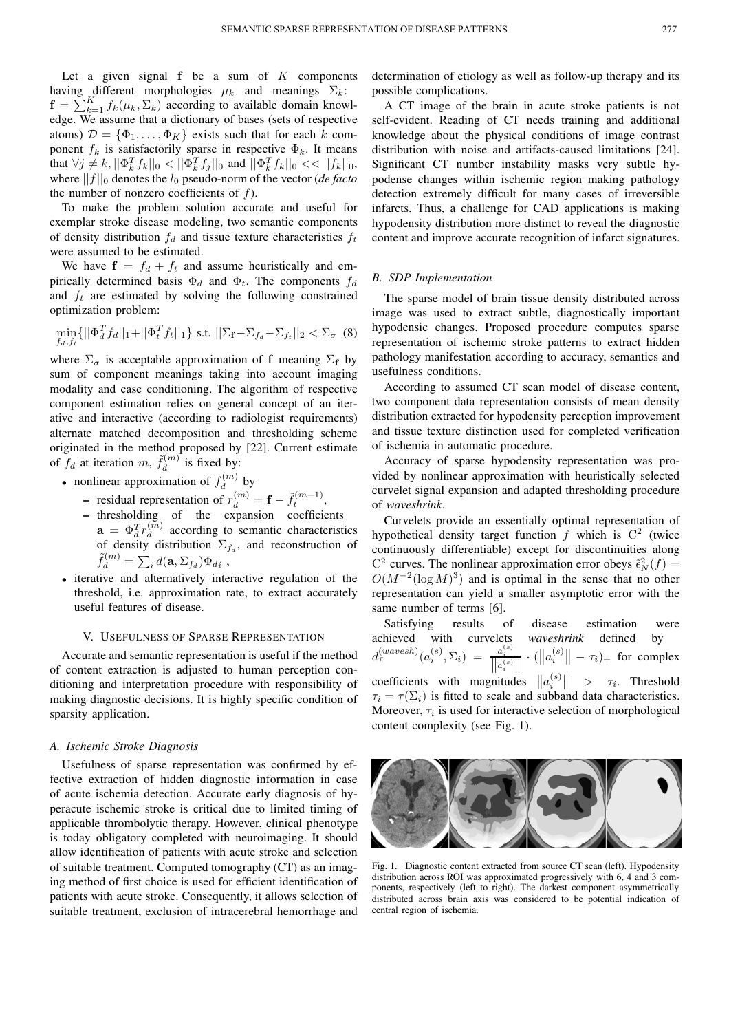Let a given signal  $f$  be a sum of  $K$  components having different morphologies  $\mu_k$  and meanings  $\Sigma_k$ :  $f = \sum_{k=1}^{K} f_k(\mu_k, \Sigma_k)$  according to available domain knowledge. We assume that a dictionary of bases (sets of respective atoms)  $\mathcal{D} = {\Phi_1, \dots, \Phi_K}$  exists such that for each k component  $f_k$  is satisfactorily sparse in respective  $\Phi_k$ . It means that  $\forall j \neq k, ||\Phi_k^T f_k||_0 < ||\Phi_k^T f_j||_0$  and  $||\Phi_k^T f_k||_0 < < ||f_k||_0$ , where  $||f||_0$  denotes the  $l_0$  pseudo-norm of the vector (*de facto* the number of nonzero coefficients of  $f$ ).

To make the problem solution accurate and useful for exemplar stroke disease modeling, two semantic components of density distribution  $f_d$  and tissue texture characteristics  $f_t$ were assumed to be estimated.

We have  $f = f_d + f_t$  and assume heuristically and empirically determined basis  $\Phi_d$  and  $\Phi_t$ . The components  $f_d$ and  $f_t$  are estimated by solving the following constrained optimization problem:

$$
\min_{f_d, f_t} \{ ||\Phi_d^T f_d||_1 + ||\Phi_t^T f_t||_1 \} \text{ s.t. } ||\Sigma_f - \Sigma_{f_d} - \Sigma_{f_t}||_2 < \Sigma_\sigma \quad (8)
$$

where  $\Sigma_{\sigma}$  is acceptable approximation of f meaning  $\Sigma_{f}$  by sum of component meanings taking into account imaging modality and case conditioning. The algorithm of respective component estimation relies on general concept of an iterative and interactive (according to radiologist requirements) alternate matched decomposition and thresholding scheme originated in the method proposed by [22]. Current estimate of  $f_d$  at iteration m,  $\tilde{f}_d^{(m)}$  $\int_{d}^{(m)}$  is fixed by:

- nonlinear approximation of  $f_d^{(m)}$  $\int_{d}^{(m)}$  by
	- **–** residual representation of  $r_d^{(m)} = \mathbf{f} \tilde{f}_t^{(m-1)}$ ,
	- **–** thresholding of the expansion coefficients  $\mathbf{a} \, = \, \Phi_d^T r_d^{(m)}$  $\binom{m}{d}$  according to semantic characteristics of density distribution  $\Sigma_{f_d}$ , and reconstruction of  $\tilde{f}_{d}^{(m)} = \sum_{i} d(\mathbf{a}, \Sigma_{f_d}) \Phi_{di}$  ,
- iterative and alternatively interactive regulation of the threshold, i.e. approximation rate, to extract accurately useful features of disease.

# V. USEFULNESS OF SPARSE REPRESENTATION

Accurate and semantic representation is useful if the method of content extraction is adjusted to human perception conditioning and interpretation procedure with responsibility of making diagnostic decisions. It is highly specific condition of sparsity application.

## *A. Ischemic Stroke Diagnosis*

Usefulness of sparse representation was confirmed by effective extraction of hidden diagnostic information in case of acute ischemia detection. Accurate early diagnosis of hyperacute ischemic stroke is critical due to limited timing of applicable thrombolytic therapy. However, clinical phenotype is today obligatory completed with neuroimaging. It should allow identification of patients with acute stroke and selection of suitable treatment. Computed tomography (CT) as an imaging method of first choice is used for efficient identification of patients with acute stroke. Consequently, it allows selection of suitable treatment, exclusion of intracerebral hemorrhage and determination of etiology as well as follow-up therapy and its possible complications.

A CT image of the brain in acute stroke patients is not self-evident. Reading of CT needs training and additional knowledge about the physical conditions of image contrast distribution with noise and artifacts-caused limitations [24]. Significant CT number instability masks very subtle hypodense changes within ischemic region making pathology detection extremely difficult for many cases of irreversible infarcts. Thus, a challenge for CAD applications is making hypodensity distribution more distinct to reveal the diagnostic content and improve accurate recognition of infarct signatures.

## *B. SDP Implementation*

The sparse model of brain tissue density distributed across image was used to extract subtle, diagnostically important hypodensic changes. Proposed procedure computes sparse representation of ischemic stroke patterns to extract hidden pathology manifestation according to accuracy, semantics and usefulness conditions.

According to assumed CT scan model of disease content, two component data representation consists of mean density distribution extracted for hypodensity perception improvement and tissue texture distinction used for completed verification of ischemia in automatic procedure.

Accuracy of sparse hypodensity representation was provided by nonlinear approximation with heuristically selected curvelet signal expansion and adapted thresholding procedure of *waveshrink*.

Curvelets provide an essentially optimal representation of hypothetical density target function  $f$  which is  $C^2$  (twice continuously differentiable) except for discontinuities along C<sup>2</sup> curves. The nonlinear approximation error obeys  $\tilde{\epsilon}_N^2(f)$  =  $O(M^{-2}(\log M)^3)$  and is optimal in the sense that no other representation can yield a smaller asymptotic error with the same number of terms [6].

Satisfying results of disease estimation were achieved with curvelets *waveshrink* defined by  $d_{\tau}^{(waves h)}(a_i^{(s)})$  $\binom{s}{i}, \Sigma_i$  =  $\frac{a_i^{(s)}}{\|a_i^{(s)}\|} \cdot (\|a_i^{(s)}\|)$ ļl  $\left\| \begin{array}{c} (s) \\ i \end{array} \right\| - \tau_i$  for complex coefficients with magnitudes  $||a_i^{(s)}|| > \tau_i$ . Threshold  $\tau_i = \tau(\Sigma_i)$  is fitted to scale and subband data characteristics. Moreover,  $\tau_i$  is used for interactive selection of morphological content complexity (see Fig. 1).



Fig. 1. Diagnostic content extracted from source CT scan (left). Hypodensity distribution across ROI was approximated progressively with 6, 4 and 3 components, respectively (left to right). The darkest component asymmetrically distributed across brain axis was considered to be potential indication of central region of ischemia.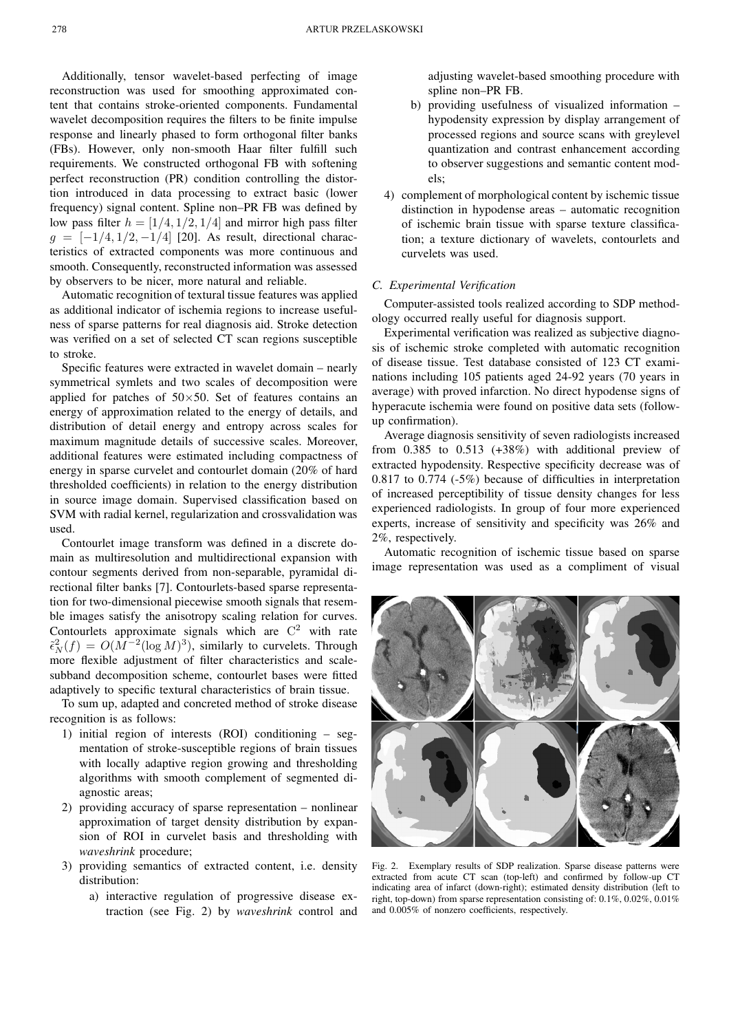Additionally, tensor wavelet-based perfecting of image reconstruction was used for smoothing approximated content that contains stroke-oriented components. Fundamental wavelet decomposition requires the filters to be finite impulse response and linearly phased to form orthogonal filter banks (FBs). However, only non-smooth Haar filter fulfill such requirements. We constructed orthogonal FB with softening perfect reconstruction (PR) condition controlling the distortion introduced in data processing to extract basic (lower frequency) signal content. Spline non–PR FB was defined by low pass filter  $h = [1/4, 1/2, 1/4]$  and mirror high pass filter  $g = [-1/4, 1/2, -1/4]$  [20]. As result, directional characteristics of extracted components was more continuous and smooth. Consequently, reconstructed information was assessed by observers to be nicer, more natural and reliable.

Automatic recognition of textural tissue features was applied as additional indicator of ischemia regions to increase usefulness of sparse patterns for real diagnosis aid. Stroke detection was verified on a set of selected CT scan regions susceptible to stroke.

Specific features were extracted in wavelet domain – nearly symmetrical symlets and two scales of decomposition were applied for patches of  $50 \times 50$ . Set of features contains an energy of approximation related to the energy of details, and distribution of detail energy and entropy across scales for maximum magnitude details of successive scales. Moreover, additional features were estimated including compactness of energy in sparse curvelet and contourlet domain (20% of hard thresholded coefficients) in relation to the energy distribution in source image domain. Supervised classification based on SVM with radial kernel, regularization and crossvalidation was used.

Contourlet image transform was defined in a discrete domain as multiresolution and multidirectional expansion with contour segments derived from non-separable, pyramidal directional filter banks [7]. Contourlets-based sparse representation for two-dimensional piecewise smooth signals that resemble images satisfy the anisotropy scaling relation for curves. Contourlets approximate signals which are  $C<sup>2</sup>$  with rate  $\tilde{\epsilon}_N^2(f) = O(M^{-2}(\log M)^3)$ , similarly to curvelets. Through more flexible adjustment of filter characteristics and scalesubband decomposition scheme, contourlet bases were fitted adaptively to specific textural characteristics of brain tissue.

To sum up, adapted and concreted method of stroke disease recognition is as follows:

- 1) initial region of interests (ROI) conditioning segmentation of stroke-susceptible regions of brain tissues with locally adaptive region growing and thresholding algorithms with smooth complement of segmented diagnostic areas;
- 2) providing accuracy of sparse representation nonlinear approximation of target density distribution by expansion of ROI in curvelet basis and thresholding with *waveshrink* procedure;
- 3) providing semantics of extracted content, i.e. density distribution:
	- a) interactive regulation of progressive disease extraction (see Fig. 2) by *waveshrink* control and

adjusting wavelet-based smoothing procedure with spline non–PR FB.

- b) providing usefulness of visualized information hypodensity expression by display arrangement of processed regions and source scans with greylevel quantization and contrast enhancement according to observer suggestions and semantic content models;
- 4) complement of morphological content by ischemic tissue distinction in hypodense areas – automatic recognition of ischemic brain tissue with sparse texture classification; a texture dictionary of wavelets, contourlets and curvelets was used.

# *C. Experimental Verification*

Computer-assisted tools realized according to SDP methodology occurred really useful for diagnosis support.

Experimental verification was realized as subjective diagnosis of ischemic stroke completed with automatic recognition of disease tissue. Test database consisted of 123 CT examinations including 105 patients aged 24-92 years (70 years in average) with proved infarction. No direct hypodense signs of hyperacute ischemia were found on positive data sets (followup confirmation).

Average diagnosis sensitivity of seven radiologists increased from 0.385 to 0.513 (+38%) with additional preview of extracted hypodensity. Respective specificity decrease was of 0.817 to 0.774 (-5%) because of difficulties in interpretation of increased perceptibility of tissue density changes for less experienced radiologists. In group of four more experienced experts, increase of sensitivity and specificity was 26% and 2%, respectively.

Automatic recognition of ischemic tissue based on sparse image representation was used as a compliment of visual



Fig. 2. Exemplary results of SDP realization. Sparse disease patterns were extracted from acute CT scan (top-left) and confirmed by follow-up CT indicating area of infarct (down-right); estimated density distribution (left to right, top-down) from sparse representation consisting of:  $0.1\%$ ,  $0.02\%$ ,  $0.01\%$ and 0.005% of nonzero coefficients, respectively.